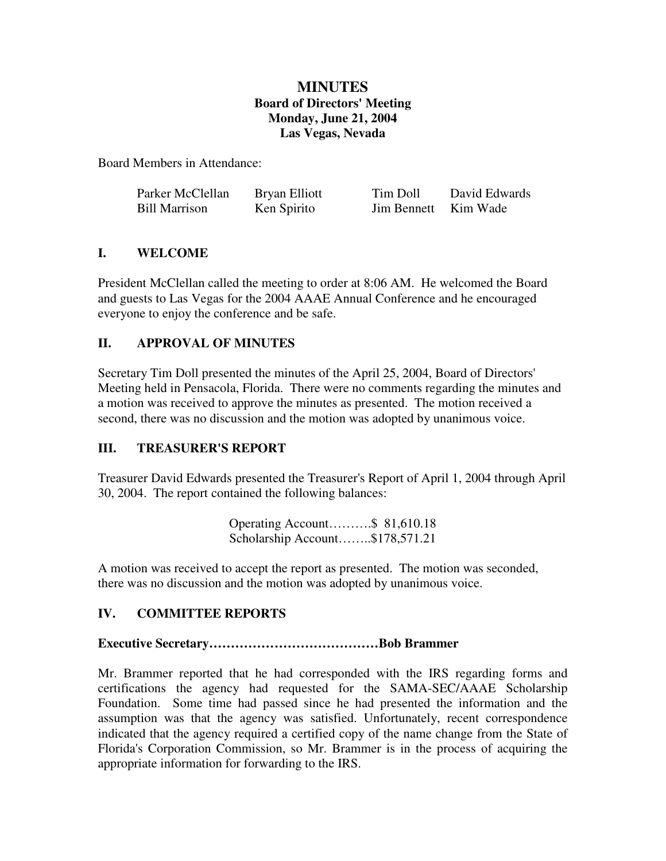## **MINUTES Board of Directors' Meeting Monday, June 21, 2004 Las Vegas, Nevada**

Board Members in Attendance:

| Parker McClellan     | Bryan Elliott | Tim Doll             | David Edwards |
|----------------------|---------------|----------------------|---------------|
| <b>Bill Marrison</b> | Ken Spirito   | Jim Bennett Kim Wade |               |

## **I. WELCOME**

President McClellan called the meeting to order at 8:06 AM. He welcomed the Board and guests to Las Vegas for the 2004 AAAE Annual Conference and he encouraged everyone to enjoy the conference and be safe.

### **II. APPROVAL OF MINUTES**

Secretary Tim Doll presented the minutes of the April 25, 2004, Board of Directors' Meeting held in Pensacola, Florida. There were no comments regarding the minutes and a motion was received to approve the minutes as presented. The motion received a second, there was no discussion and the motion was adopted by unanimous voice.

## **III. TREASURER'S REPORT**

Treasurer David Edwards presented the Treasurer's Report of April 1, 2004 through April 30, 2004. The report contained the following balances:

| Operating Account\$ 81,610.18   |  |
|---------------------------------|--|
| Scholarship Account\$178,571.21 |  |

A motion was received to accept the report as presented. The motion was seconded, there was no discussion and the motion was adopted by unanimous voice.

## **IV. COMMITTEE REPORTS**

#### **Executive Secretary…………………………………Bob Brammer**

Mr. Brammer reported that he had corresponded with the IRS regarding forms and certifications the agency had requested for the SAMA-SEC/AAAE Scholarship Foundation. Some time had passed since he had presented the information and the assumption was that the agency was satisfied. Unfortunately, recent correspondence indicated that the agency required a certified copy of the name change from the State of Florida's Corporation Commission, so Mr. Brammer is in the process of acquiring the appropriate information for forwarding to the IRS.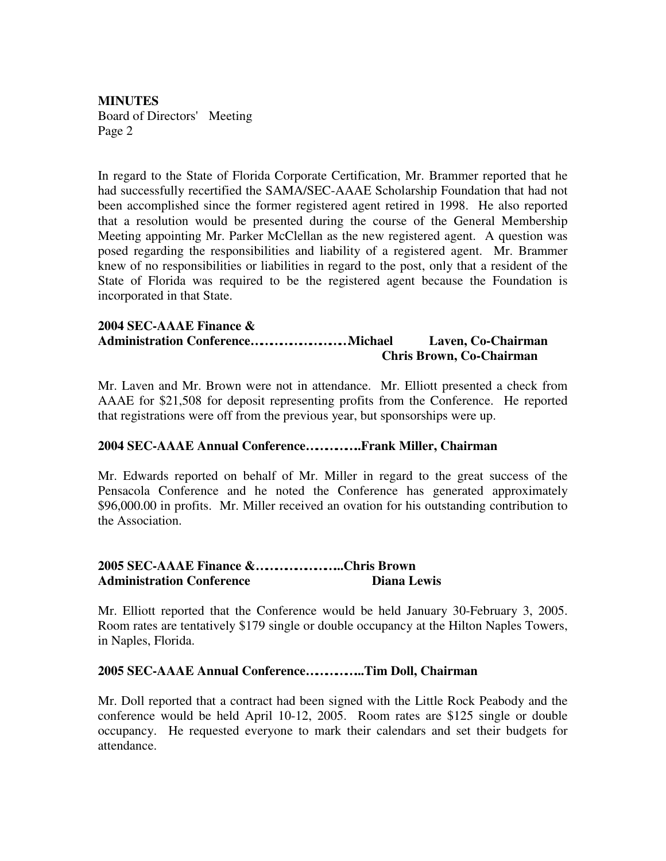In regard to the State of Florida Corporate Certification, Mr. Brammer reported that he had successfully recertified the SAMA/SEC-AAAE Scholarship Foundation that had not been accomplished since the former registered agent retired in 1998. He also reported that a resolution would be presented during the course of the General Membership Meeting appointing Mr. Parker McClellan as the new registered agent. A question was posed regarding the responsibilities and liability of a registered agent. Mr. Brammer knew of no responsibilities or liabilities in regard to the post, only that a resident of the State of Florida was required to be the registered agent because the Foundation is incorporated in that State.

#### **2004 SEC-AAAE Finance & Administration Conference…………………………Michael Laven, Co-Chairman Chris Brown, Co-Chairman**

Mr. Laven and Mr. Brown were not in attendance. Mr. Elliott presented a check from AAAE for \$21,508 for deposit representing profits from the Conference. He reported that registrations were off from the previous year, but sponsorships were up.

#### **2004 SEC-AAAE Annual Conference……………..Frank Miller, Chairman**

Mr. Edwards reported on behalf of Mr. Miller in regard to the great success of the Pensacola Conference and he noted the Conference has generated approximately \$96,000.00 in profits. Mr. Miller received an ovation for his outstanding contribution to the Association.

### **2005 SEC-AAAE Finance &……………………...Chris Brown Administration Conference Diana Lewis**

Mr. Elliott reported that the Conference would be held January 30-February 3, 2005. Room rates are tentatively \$179 single or double occupancy at the Hilton Naples Towers, in Naples, Florida.

#### **2005 SEC-AAAE Annual Conference……………...Tim Doll, Chairman**

Mr. Doll reported that a contract had been signed with the Little Rock Peabody and the conference would be held April 10-12, 2005. Room rates are \$125 single or double occupancy. He requested everyone to mark their calendars and set their budgets for attendance.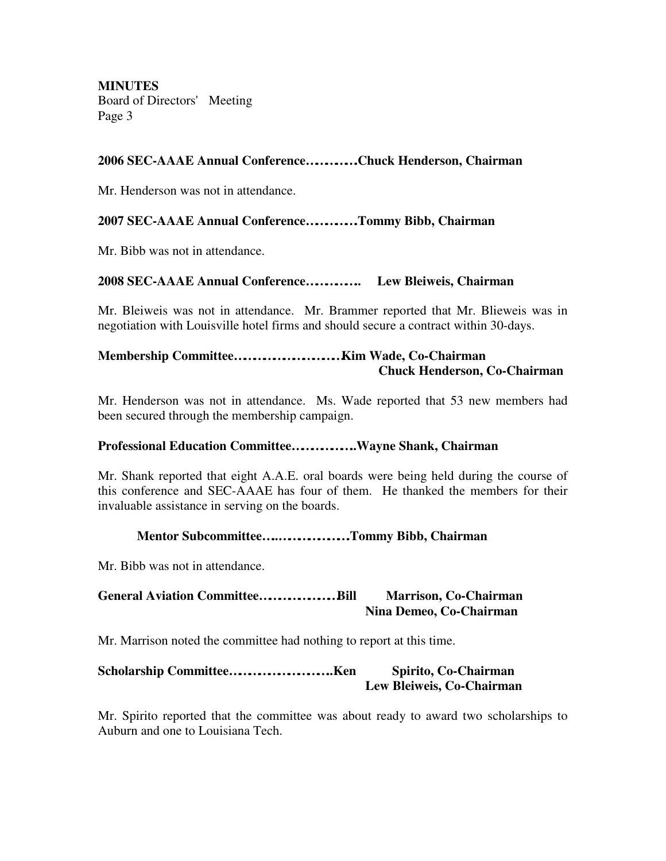### **2006 SEC-AAAE Annual Conference…………….Chuck Henderson, Chairman**

Mr. Henderson was not in attendance.

#### **2007 SEC-AAAE Annual Conference…………….Tommy Bibb, Chairman**

Mr. Bibb was not in attendance.

#### **2008 SEC-AAAE Annual Conference…………….. Lew Bleiweis, Chairman**

Mr. Bleiweis was not in attendance. Mr. Brammer reported that Mr. Blieweis was in negotiation with Louisville hotel firms and should secure a contract within 30-days.

### **Membership Committee……………………………Kim Wade, Co-Chairman Chuck Henderson, Co-Chairman**

Mr. Henderson was not in attendance. Ms. Wade reported that 53 new members had been secured through the membership campaign.

#### **Professional Education Committee………………..Wayne Shank, Chairman**

Mr. Shank reported that eight A.A.E. oral boards were being held during the course of this conference and SEC-AAAE has four of them. He thanked the members for their invaluable assistance in serving on the boards.

#### **Mentor Subcommittee…..………………….Tommy Bibb, Chairman**

Mr. Bibb was not in attendance.

### **General Aviation Committee……………………Bill Marrison, Co-Chairman Nina Demeo, Co-Chairman**

Mr. Marrison noted the committee had nothing to report at this time.

| Spirito, Co-Chairman      |
|---------------------------|
| Lew Bleiweis, Co-Chairman |

Mr. Spirito reported that the committee was about ready to award two scholarships to Auburn and one to Louisiana Tech.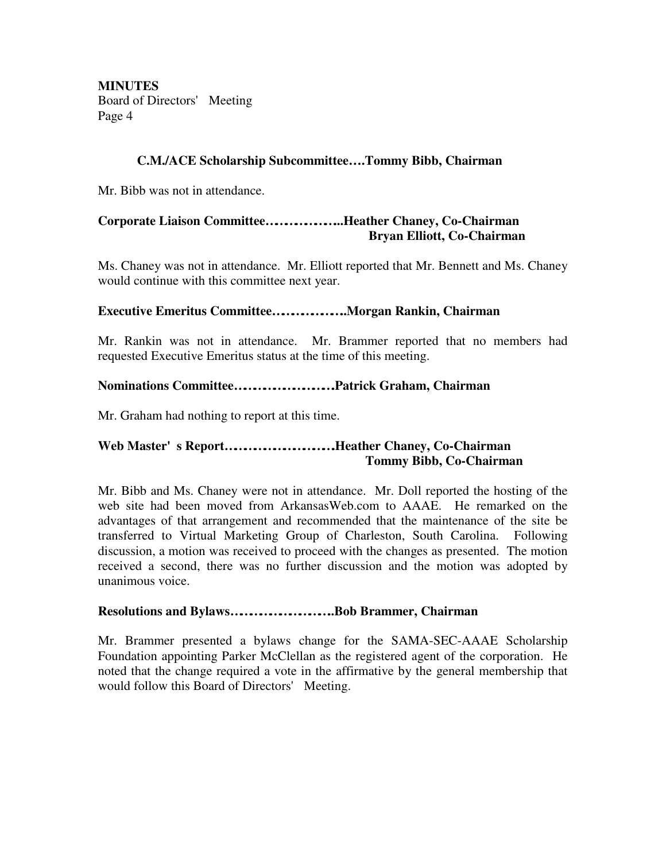### **C.M./ACE Scholarship Subcommittee… .Tommy Bibb, Chairman**

Mr. Bibb was not in attendance.

## **Corporate Liaison Committee…………………...Heather Chaney, Co-Chairman Bryan Elliott, Co-Chairman**

Ms. Chaney was not in attendance. Mr. Elliott reported that Mr. Bennett and Ms. Chaney would continue with this committee next year.

### **Executive Emeritus Committee…………………..Morgan Rankin, Chairman**

Mr. Rankin was not in attendance. Mr. Brammer reported that no members had requested Executive Emeritus status at the time of this meeting.

### **Nominations Committee………………………….Patrick Graham, Chairman**

Mr. Graham had nothing to report at this time.

## **Web Master's Report…………………………….Heather Chaney, Co-Chairman Tommy Bibb, Co-Chairman**

Mr. Bibb and Ms. Chaney were not in attendance. Mr. Doll reported the hosting of the web site had been moved from ArkansasWeb.com to AAAE. He remarked on the advantages of that arrangement and recommended that the maintenance of the site be transferred to Virtual Marketing Group of Charleston, South Carolina. Following discussion, a motion was received to proceed with the changes as presented. The motion received a second, there was no further discussion and the motion was adopted by unanimous voice.

#### **Resolutions and Bylaws…………………………..Bob Brammer, Chairman**

Mr. Brammer presented a bylaws change for the SAMA-SEC-AAAE Scholarship Foundation appointing Parker McClellan as the registered agent of the corporation. He noted that the change required a vote in the affirmative by the general membership that would follow this Board of Directors' Meeting.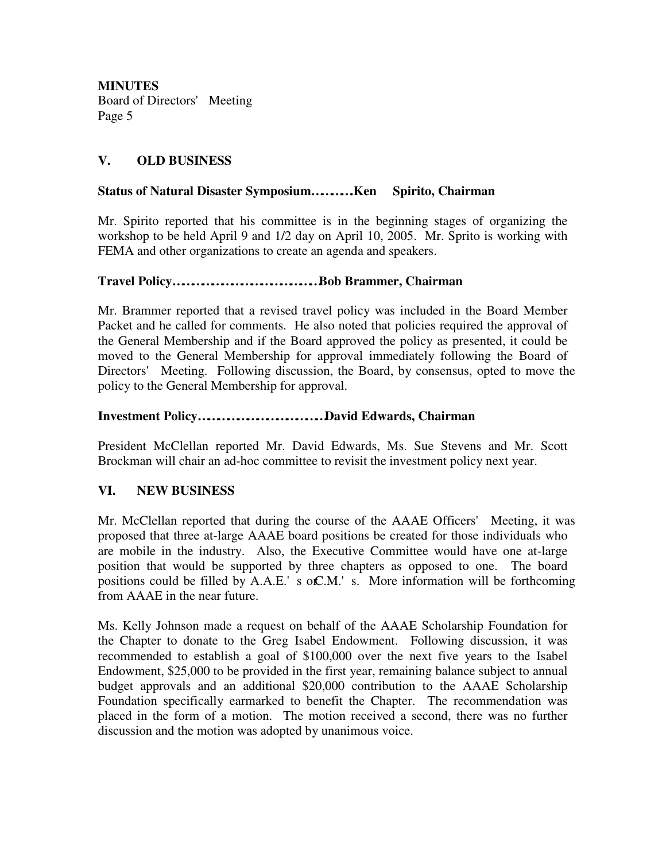## **V. OLD BUSINESS**

### **Status of Natural Disaster Symposium………….Ken Spirito, Chairman**

Mr. Spirito reported that his committee is in the beginning stages of organizing the workshop to be held April 9 and 1/2 day on April 10, 2005. Mr. Sprito is working with FEMA and other organizations to create an agenda and speakers.

### **Travel Policy………………………………………Bob Brammer, Chairman**

Mr. Brammer reported that a revised travel policy was included in the Board Member Packet and he called for comments. He also noted that policies required the approval of the General Membership and if the Board approved the policy as presented, it could be moved to the General Membership for approval immediately following the Board of Directors' Meeting. Following discussion, the Board, by consensus, opted to move the policy to the General Membership for approval.

### **Investment Policy…………………………………David Edwards, Chairman**

President McClellan reported Mr. David Edwards, Ms. Sue Stevens and Mr. Scott Brockman will chair an ad-hoc committee to revisit the investment policy next year.

## **VI. NEW BUSINESS**

Mr. McClellan reported that during the course of the AAAE Officers' Meeting, it was proposed that three at-large AAAE board positions be created for those individuals who are mobile in the industry. Also, the Executive Committee would have one at-large position that would be supported by three chapters as opposed to one. The board positions could be filled by  $A.A.E.'$  s o $C.M.'$  s. More information will be forthcoming from AAAE in the near future.

Ms. Kelly Johnson made a request on behalf of the AAAE Scholarship Foundation for the Chapter to donate to the Greg Isabel Endowment. Following discussion, it was recommended to establish a goal of \$100,000 over the next five years to the Isabel Endowment, \$25,000 to be provided in the first year, remaining balance subject to annual budget approvals and an additional \$20,000 contribution to the AAAE Scholarship Foundation specifically earmarked to benefit the Chapter. The recommendation was placed in the form of a motion. The motion received a second, there was no further discussion and the motion was adopted by unanimous voice.